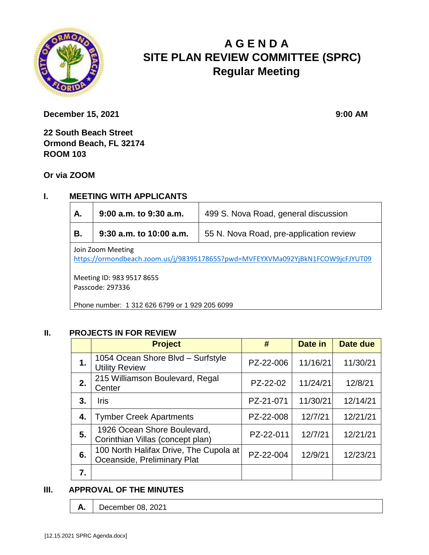

# **A G E N D A SITE PLAN REVIEW COMMITTEE (SPRC) Regular Meeting**

**December 15, 2021** 9:00 **AM** 

**22 South Beach Street Ormond Beach, FL 32174 ROOM 103**

**Or via ZOOM**

## **I. MEETING WITH APPLICANTS**

| Α.                                                                                                  | 9:00 a.m. to 9:30 a.m.  | 499 S. Nova Road, general discussion    |  |  |
|-----------------------------------------------------------------------------------------------------|-------------------------|-----------------------------------------|--|--|
| В.                                                                                                  | 9:30 a.m. to 10:00 a.m. | 55 N. Nova Road, pre-application review |  |  |
| Join Zoom Meeting<br>https://ormondbeach.zoom.us/j/98395178655?pwd=MVFEYXVMa092YjBkN1FCOW9jcFJYUT09 |                         |                                         |  |  |

Meeting ID: 983 9517 8655 Passcode: 297336

Phone number: 1 312 626 6799 or 1 929 205 6099

#### **II. PROJECTS IN FOR REVIEW**

|    | <b>Project</b>                                                        | #         | Date in  | <b>Date due</b> |
|----|-----------------------------------------------------------------------|-----------|----------|-----------------|
| 1. | 1054 Ocean Shore Blvd - Surfstyle<br><b>Utility Review</b>            | PZ-22-006 | 11/16/21 | 11/30/21        |
| 2. | 215 Williamson Boulevard, Regal<br>Center                             | PZ-22-02  | 11/24/21 | 12/8/21         |
| 3. | <b>Iris</b>                                                           | PZ-21-071 | 11/30/21 | 12/14/21        |
| 4. | <b>Tymber Creek Apartments</b>                                        | PZ-22-008 | 12/7/21  | 12/21/21        |
| 5. | 1926 Ocean Shore Boulevard,<br>Corinthian Villas (concept plan)       | PZ-22-011 | 12/7/21  | 12/21/21        |
| 6. | 100 North Halifax Drive, The Cupola at<br>Oceanside, Preliminary Plat | PZ-22-004 | 12/9/21  | 12/23/21        |
| 7. |                                                                       |           |          |                 |

#### **III. APPROVAL OF THE MINUTES**

**A.** December 08, 2021